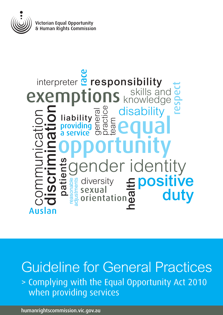

# Hability a Equal<br>
a service **Bagged** Contractor exemptions skills and a<br> **Examplions** knowledge as<br> **Example a** disability<br>
a service and a service and a service and a service and a service and a service and a<br> **Example 2** diversity<br> **Example 2** diversity<br> **Example 2** d providing a service general practice team **readiation**<br> **reading**<br> **reading**<br> **reading**<br> **reading**<br> **reading** skills and knowledge communication respect disak er identity<br> **Epositive**<br> **Epositive**<br>
duty interpreter **¤** responsibility patients liability sexual orientation health Auslan

Guideline for General Practices > Complying with the Equal Opportunity Act 2010 when providing services

<humanrightscommission.vic.gov.au>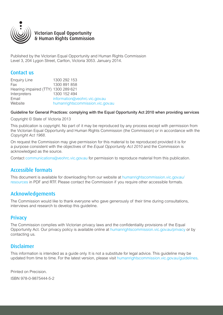

## Victorian Equal Opportunity & Human Rights Commission

Published by the Victorian Equal Opportunity and Human Rights Commission Level 3, 204 Lygon Street, Carlton, Victoria 3053. January 2014.

## Contact us

| <b>Enquiry Line</b>                 | 1300 292 153                     |
|-------------------------------------|----------------------------------|
| Fax                                 | 1300 891 858                     |
| Hearing impaired (TTY) 1300 289 621 |                                  |
| Interpreters                        | 1300 152 494                     |
| Email                               | information@veohrc.vic.gov.au    |
| Website                             | humanrightscommission.vic.gov.au |

Guideline for General Practices: complying with the Equal Opportunity Act 2010 when providing services

Copyright © State of Victoria 2013

This publication is copyright. No part of it may be reproduced by any process except with permission from the Victorian Equal Opportunity and Human Rights Commission (the Commission) or in accordance with the *Copyright Act 1968*.

On request the Commission may give permission for this material to be reproduced provided it is for a purpose consistent with the objectives of the *Equal Opportunity Act 2010* and the Commission is acknowledged as the source.

Contact [communications@veohrc.vic.gov.au](mailto:communications@veohrc.vic.gov.au) for permission to reproduce material from this publication.

# Accessible formats

This document is available for downloading from our website at [humanrightscommission.vic.gov.au/](http://http://www.humanrightscommission.vic.gov.au/index.php/our-resources-and-publications) [resources](http://http://www.humanrightscommission.vic.gov.au/index.php/our-resources-and-publications) in PDF and RTF. Please contact the Commission if you require other accessible formats.

## Acknowledgements

The Commission would like to thank everyone who gave generously of their time during consultations, interviews and research to develop this guideline.

## **Privacy**

The Commission complies with Victorian privacy laws and the confidentiality provisions of the Equal Opportunity Act. Our privacy policy is available online at [humanrightscommission.vic.gov.au/privacy](http://http://www.humanrightscommission.vic.gov.au/index.php/about-us/confidentiality-a-impartiality/privacy-policy) or by contacting us.

# Disclaimer

This information is intended as a guide only. It is not a substitute for legal advice. This guideline may be updated from time to time. For the latest version, please visit [humanrightscommission.vic.gov.au/guidelines](http://http://www.humanrightscommission.vic.gov.au/index.php/our-resources-and-publications/eoa-practice-guidelines).

Printed on Precision. ISBN 978-0-9875444-5-2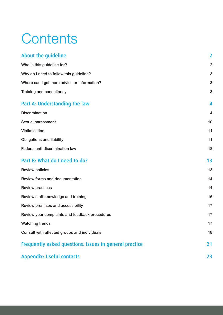# **Contents**

| About the guideline                                    | $\overline{2}$ |
|--------------------------------------------------------|----------------|
| Who is this guideline for?                             | $\overline{2}$ |
| Why do I need to follow this guideline?                | 3              |
| Where can I get more advice or information?            | 3              |
| Training and consultancy                               | 3              |
| Part A: Understanding the law                          | 4              |
| <b>Discrimination</b>                                  | 4              |
| <b>Sexual harassment</b>                               | 10             |
| Victimisation                                          | 11             |
| <b>Obligations and liability</b>                       | 11             |
| Federal anti-discrimination law                        | 12             |
| Part B: What do I need to do?                          | 13             |
| <b>Review policies</b>                                 | 13             |
| Review forms and documentation                         | 14             |
| <b>Review practices</b>                                | 14             |
| Review staff knowledge and training                    | 16             |
| Review premises and accessibility                      | 17             |
| Review your complaints and feedback procedures         | 17             |
| <b>Watching trends</b>                                 | 17             |
| Consult with affected groups and individuals           | 18             |
| Frequently asked questions: Issues in general practice | 21             |
| <b>Appendix: Useful contacts</b>                       | 23             |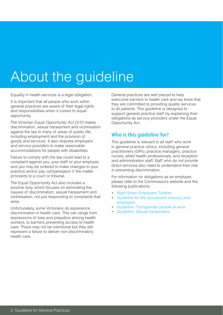# About the guideline

Equality in health services is a legal obligation.

It is important that all people who work within general practices are aware of their legal rights and responsibilities when it comes to equal opportunity.

The Victorian *Equal Opportunity Act 2010* makes discrimination, sexual harassment and victimisation against the law in many of areas of public life, including employment and the provision of goods and services. It also requires employers and service providers to make reasonable accommodations for people with disabilities.

Failure to comply with the law could lead to a complaint against you, your staff or your employer, and you may be ordered to make changes to your practice and/or pay compensation if the matter proceeds to a court or tribunal.

The Equal Opportunity Act also includes a positive duty, which focuses on eliminating the causes of discrimination, sexual harassment and victimisation, not just responding to complaints that arise.

Unfortunately, some Victorians do experience discrimination in health care. This can range from expressions of bias and prejudice among health workers, to barriers preventing access to health care. These may not be intentional but they still represent a failure to deliver non-discriminatory health care.

General practices are well placed to help overcome barriers to health care and we know that they are committed to providing quality services to all patients. This guideline is designed to support general practice staff by explaining their obligations as service providers under the Equal Opportunity Act.

# Who is this guideline for?

This guideline is relevant to all staff who work in general practice clinics, including general practitioners (GPs), practice managers, practice nurses, allied health professionals, and reception and administration staff. Staff who do not provide direct services also need to understand their role in preventing discrimination.

For information on obligations as an employer, please refer to the Commission's website and the following publications:

- **[Right Smart Employers Toolkits](http://www.humanrightscommission.vic.gov.au/employerstoolkits)**
- Guideline for the recruitment industry and *[employers](http://www.humanrightscommission.vic.gov.au/index.php/our-resources-and-publications/eoa-practice-guidelines/item/515-guideline-for-the-recruitment-industry-and-employers-complying-with-the-equal-opportunity-act-2010-in-recruitment)*
- • *[Guideline: Transgender people at work](http://www.humanrightscommission.vic.gov.au/index.php/our-resources-and-publications/eoa-practice-guidelines/item/632-guideline-transgender-people-at-work-complying-with-the-equal-opportunity-act-2010)*
- • *[Guideline: Sexual harassment.](http://www.humanrightscommission.vic.gov.au/index.php/our-resources-and-publications/eoa-practice-guidelines/item/562-guideline-sexual-harassment-complying-with-the-equal-opportunity-act-2010)*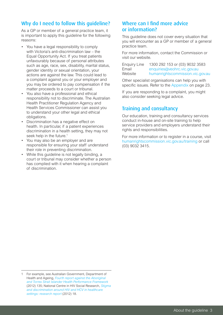# Why do I need to follow this quideline?

As a GP or member of a general practice team, it is important to apply this guideline for the following reasons:

- You have a legal responsibility to comply with Victoria's anti-discrimination law – the Equal Opportunity Act. If you treat patients unfavourably because of personal attributes such as age, race, sex, disability, marital status, gender identity or sexual orientation, your actions are against the law. This could lead to a complaint against you or your employer and you may be ordered to pay compensation if the matter proceeds to a court or tribunal.
- You also have a professional and ethical responsibility not to discriminate. The Australian Health Practitioner Regulation Agency and Health Services Commissioner can assist you to understand your other legal and ethical obligations.
- • Discrimination has a negative effect on health. In particular, if a patient experiences discrimination in a health setting, they may not seek help in the future.<sup>1</sup>
- You may also be an employer and are responsible for ensuring your staff understand their role in preventing discrimination.
- While this guideline is not legally binding, a court or tribunal may consider whether a person has complied with it when hearing a complaint of discrimination.

# Where can I find more advice or information?

This guideline does not cover every situation that you will encounter as a GP or member of a general practice team.

For more information, contact the Commission or visit our website.

| <b>Enquiry Line</b> | 1300 292 153 or (03) 9032 3583   |
|---------------------|----------------------------------|
| Email               | enquiries@veohrc.vic.gov.au      |
| Website             | humanrightscommission.vic.gov.au |

Other specialist organisations can help you with specific issues. Refer to the [Appendix](#page-24-0) on page 23.

If you are responding to a complaint, you might also consider seeking legal advice.

# Training and consultancy

Our education, training and consultancy services conduct in-house and on-site training to help service providers and employers understand their rights and responsibilities.

For more information or to register in a course, visit [humanrightscommission.vic.gov.au/training](http://www.humanrightscommission.vic.gov.au/training) or call (03) 9032 3415.

<sup>1</sup> For example, see Australian Government, Department of Health and Ageing, *[Fourth report against the Aboriginal](http://www.health.gov.au/internet/main/Publishing.nsf/Content/F766FC3D8A697685CA257BF0001C96E8/$File/hpf-2012.pdf)  [and Torres Strait Islander Health Performance Framework](http://www.health.gov.au/internet/main/Publishing.nsf/Content/F766FC3D8A697685CA257BF0001C96E8/$File/hpf-2012.pdf)* (2012) 135; National Centre in HIV Social Research, *[Stigma](http://www.ashm.org.au/Publications/Stigma_and_Discrimination.pdf)  [and discrimination around HIV and HCV in healthcare](http://www.ashm.org.au/Publications/Stigma_and_Discrimination.pdf)  [settings: research report](http://www.ashm.org.au/Publications/Stigma_and_Discrimination.pdf)* (2012) 18.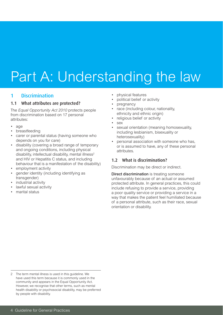# <span id="page-5-0"></span>Part A: Understanding the law

## 1 Discrimination

## 1.1 What attributes are protected?

The *Equal Opportunity Act 2010* protects people from discrimination based on 17 personal attributes:

- age
- breastfeeding
- carer or parental status (having someone who depends on you for care)
- disability (covering a broad range of temporary and ongoing conditions, including physical disability, intellectual disability, mental illness<sup>2</sup> and HIV or Hepatitis C status, and including behaviour that is a manifestation of the disability)
- employment activity
- gender identity (including identifying as transgender)
- industrial activity
- lawful sexual activity
- marital status
- physical features
- political belief or activity
- pregnancy
- race (including colour, nationality, ethnicity and ethnic origin)
- religious belief or activity
- sex
- sexual orientation (meaning homosexuality, including lesbianism, bisexuality or heterosexuality)
- personal association with someone who has. or is assumed to have, any of these personal attributes.

## 1.2 What is discrimination?

Discrimination may be direct or indirect.

Direct discrimination is treating someone unfavourably because of an actual or assumed protected attribute. In general practices, this could include refusing to provide a service, providing a poor quality service or providing a service in a way that makes the patient feel humiliated because of a personal attribute, such as their race, sexual orientation or disability.

<sup>2</sup> The term mental illness is used in this guideline. We have used this term because it is commonly used in the community and appears in the Equal Opportunity Act. However, we recognise that other terms, such as mental health disability or psychosocial disability, may be preferred by people with disability.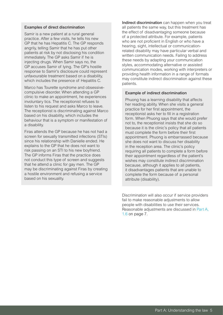#### Examples of direct discrimination

Samir is a new patient at a rural general practice. After a few visits, he tells his new GP that he has Hepatitis C. The GP responds angrily, telling Samir that he has put other patients at risk by not disclosing his condition immediately. The GP asks Samir if he is injecting drugs. When Samir says no, the GP accuses Samir of lying. The GP's hostile response to Samir's disclosure could represent unfavourable treatment based on a disability, which includes the presence of Hepatitis C.

Marco has Tourette syndrome and obsessivecompulsive disorder. When attending a GP clinic to make an appointment, he experiences involuntary tics. The receptionist refuses to listen to his request and asks Marco to leave. The receptionist is discriminating against Marco based on his disability, which includes the behaviour that is a symptom or manifestation of a disability.

Firas attends the GP because he has not had a screen for sexually transmitted infections (STIs) since his relationship with Danielle ended. He explains to the GP that he does not want to risk passing on an STI to his new boyfriend. The GP informs Firas that the practice does not conduct this type of screen and suggests that he attend a clinic for gay men. The GP may be discriminating against Firas by creating a hostile environment and refusing a service based on his sexuality.

Indirect discrimination can happen when you treat all patients the same way, but this treatment has the effect of disadvantaging someone because of a protected attribute. For example, patients who are not proficient in English or who have a hearing, sight, intellectual or communicationrelated disability may have particular verbal and written communication needs. Failing to address these needs by adapting your communication styles, accommodating alternative or assisted communication modes, working with interpreters or providing health information in a range of formats may constitute indirect discrimination against these patients.

#### Example of indirect discrimination

Phuong has a learning disability that affects her reading ability. When she visits a general practice for her first appointment, the receptionist asks her to fill in a registration form. When Phuong says that she would prefer not to, the receptionist insists that she do so because it is the clinic's policy that all patients must complete the form before their first appointment. Phuong is embarrassed because she does not want to discuss her disability in the reception area. The clinic's policy requiring all patients to complete a form before their appointment regardless of the patient's wishes may constitute indirect discrimination because, although it applies to all patients, it disadvantages patients that are unable to complete the form because of a personal attribute (disability).

Discrimination will also occur if service providers fail to make reasonable adjustments to allow people with disabilities to use their services. Reasonable adjustments are discussed in [Part A,](#page-8-0)  [1.6 on page 7](#page-8-0).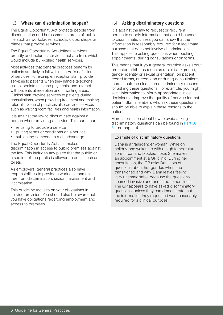## 1.3 Where can discrimination happen?

The Equal Opportunity Act protects people from discrimination and harassment in areas of public life such as workplaces, schools, clubs, shops or places that provide services.

The Equal Opportunity Act defines services broadly and includes services that are free, which would include bulk-billed health services.

Most activities that general practices perform for patients are likely to fall within the Act's definition of services. For example, reception staff provide services to patients when they handle telephone calls, appointments and payments, and interact with patients at reception and in waiting areas. Clinical staff provide services to patients during consultations, when providing treatment and making referrals. General practices also provide services such as waiting room facilities and health information.

It is against the law to discriminate against a person when providing a service. This can mean:

- refusing to provide a service
- putting terms or conditions on a service
- subjecting someone to a disadvantage.

The Equal Opportunity Act also makes discrimination in access to public premises against the law. This includes any place that the public or a section of the public is allowed to enter, such as toilets.

As employers, general practices also have responsibilities to provide a work environment free from discrimination, sexual harassment and victimisation.

This guideline focuses on your obligations in service provision. You should also be aware that you have obligations regarding employment and access to premises.

## 1.4 Asking discriminatory questions

It is against the law to request or require a person to supply information that could be used to discriminate, unless you can show that the information is reasonably required for a legitimate purpose that does not involve discrimination. This applies to asking questions when booking appointments, during consultations or on forms.

This means that if your general practice asks about protected attributes (such as racial background, gender identity or sexual orientation) on patient record forms, at reception or during consultations, there should be clear, non-discriminatory reasons for asking these questions. For example, you might seek information to inform appropriate clinical decisions or improve the quality of service for that patient. Staff members who ask these questions should be able to explain these reasons to the patient.

More information about how to avoid asking discriminatory questions can be found in [Part B,](#page-15-0)  [3.1 on page 1](#page-15-0)4.

## Example of discriminatory questions

Dana is a transgender woman. While on holiday, she wakes up with a high temperature, sore throat and blocked nose. She makes an appointment at a GP clinic. During her consultation, the GP asks Dana lots of questions about her gender, when she transitioned and why. Dana leaves feeling very uncomfortable because the questions seemed invasive and unrelated to her illness. The GP appears to have asked discriminatory questions, unless they can demonstrate that the information they requested was reasonably required for a clinical purpose.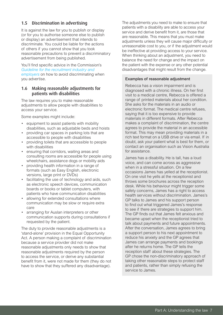## 1.5 Discrimination in advertising

It is against the law for you to publish or display (or for you to authorise someone else to publish or display) an advertisement that intends to discriminate. You could be liable for the actions of others if you cannot show that you took reasonable precautions to prevent a discriminatory advertisement from being published.

You'll find specific advice in the Commission's *[Guideline for the recruitment industry and](http://www.humanrightscommission.vic.gov.au/index.php/our-resources-and-publications/eoa-practice-guidelines/item/515-guideline-for-the-recruitment-industry-and-employers-complying-with-the-equal-opportunity-act-2010-in-recruitment)  [employers](http://www.humanrightscommission.vic.gov.au/index.php/our-resources-and-publications/eoa-practice-guidelines/item/515-guideline-for-the-recruitment-industry-and-employers-complying-with-the-equal-opportunity-act-2010-in-recruitment)* on how to avoid discriminating when you advertise*.*

## <span id="page-8-0"></span>1.6 Making reasonable adjustments for patients with disabilities

The law requires you to make reasonable adjustments to allow people with disabilities to access your service.

Some examples might include:

- • equipment to assist patients with mobility disabilities, such as adjustable beds and hoists
- providing car spaces in parking lots that are accessible to people with disabilities
- providing toilets that are accessible to people with disabilities
- • ensuring that corridors, waiting areas and consulting rooms are accessible for people using wheelchairs, assistance dogs or mobility aids
- • providing health information in a range of formats (such as Easy English, electronic versions, large print or DVDs)
- facilitating the use of technology and aids, such as electronic speech devices, communication boards or books or tablet computers, with patients who have communication disabilities
- allowing for extended consultations where communication may be slow or require extra care
- arranging for Auslan interpreters or other communication supports during consultations if requested by the patient.

The duty to provide reasonable adjustments is a 'stand-alone' provision in the Equal Opportunity Act. A person making a complaint of discrimination because a service provider did not make reasonable adjustments only needs to show that reasonable adjustments required by the person to access the service, or derive any substantial benefit from it, were not made for them (they do not have to show that they suffered any disadvantage).

The adjustments you need to make to ensure that patients with a disability are able to access your service and derive benefit from it, are those that are reasonable. This means that you must make adjustments unless they will cause major difficulty or unreasonable cost to you, or if the adjustment would be ineffective at providing access to your service. When thinking about an adjustment, you need to balance the need for change and the impact on the patient with the expense or any other potential disadvantages that might result from the change.

#### Examples of reasonable adjustment

Rebecca has a vision impairment and is diagnosed with a chronic illness. On her first visit to a medical centre, Rebecca is offered a range of printed materials about her condition. She asks for the materials in an audio or electronic format. The medical centre refuses, saying that it is too expensive to provide materials in different formats. After Rebecca makes a complaint of discrimination, the centre agrees to provide the material in an accessible format. This may mean providing materials in a rich text format on a USB drive or via email. If in doubt, ask your patient what is best for them, or contact an organisation such as Vision Australia for assistance.

James has a disability. He is tall, has a loud voice, and can come across as aggressive when in a stressful situation. On a few occasions James has yelled at the receptionist. On one visit he yells at the receptionist and throws some brochures across the reception desk. While his behaviour might trigger some safety concerns, James has a right to access health services without discrimination. James's GP talks to James and his support person to find out what triggered James's response to see if there are strategies to support him. The GP finds out that James felt anxious and became upset when the receptionist tried to talk about payments and future appointments. After the conversation, James agrees to bring a support person to his next appointment to reduce his anxiety and the GP agrees that James can arrange payments and bookings after he returns home. The GP tells the reception staff about these strategies. The GP chose the non-discriminatory approach of taking other reasonable steps to protect staff and patients, rather than simply refusing the service to James.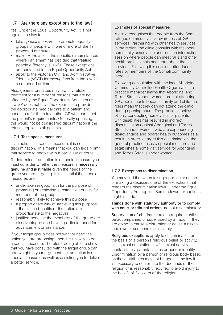## 1.7 Are there any exceptions to the law?

Yes. Under the Equal Opportunity Act, it is not against the law to:

- take *special measures* to promote equality for groups of people with one or more of the 17 protected attributes
- make *exceptions* in the specific circumstances where Parliament has decided that treating people differently is lawful. These exceptions are contained in the Equal Opportunity Act
- apply to the Victorian Civil and Administrative Tribunal (VCAT) for *exemptions* from the law for a set period of time.

Also, general practices may lawfully refuse treatment for a number of reasons that are not affected by the Equal Opportunity Act, such as if a GP does not have the expertise to provide the appropriate medical care to a patient and needs to refer them to another GP who can meet the patient's requirements. Generally speaking, this would not be considered discrimination if the refusal applies to all patients.

## <span id="page-9-0"></span>1.7.1 Take special measures

If an action is a special measure, it is not discrimination. This means that you can legally limit that service to people with a particular attribute.

To determine if an action is a special measure you must consider whether the measure is **necessary**. genuine and justifiable given the needs of the group you are targeting. It is essential that special measures are:

- • undertaken in good faith for the purpose of promoting or achieving substantive equality for members of the group
- reasonably likely to achieve this purpose
- a proportionate way of achieving this purpose – that is, the benefits of the action are proportionate to the negatives
- justified because the members of the group are disadvantaged and have a particular need for advancement or assistance.

If your target group does not want or need the action you are proposing, then it is unlikely to be a special measure. Therefore, being able to show that you have consulted with the target group can add weight to your argument that an action is a special measure, as well as assisting you to deliver a better service.

## Examples of special measures

A clinic recognises that people from the Somali refugee community lack awareness of GP services. Partnering with other health services in the region, the clinic consults with the local community association and runs an information session where people can meet GPs and other health professionals and learn about the clinic's services. Following this session, attendance rates by members of the Somali community increase.

Following consultation with the local Aboriginal Community Controlled Health Organisation, a practice manager learns that Aboriginal and Torres Strait Islander women are not attending GP appointments because family and childcare roles mean that they can not attend the clinic during opening hours. The practice's policy of only conducting home visits for patients with disabilities has resulted in indirect discrimination against Aboriginal and Torres Strait Islander women, who are experiencing disadvantage and poorer health outcomes as a result. In order to target this discrimination, the general practice takes a special measure and establishes a home visit service for Aboriginal and Torres Strait Islander women.

## 1.7.2 Exceptions to discrimination

You may find that when taking a particular action or making a decision, one of the exceptions that renders the discrimination lawful under the Equal Opportunity Act applies. Some relevant exceptions might include:

#### Things done with statutory authority or to comply with court or tribunal orders are not discriminatory.

Supervision of children: You can require a child to be accompanied or supervised by an adult if they are going to cause a disruption or cause a risk to their own or someone else's safety.

Religious exceptions apply to discrimination on the basis of a person's religious belief or activity, sex, sexual orientation, lawful sexual activity, marital status, parental status or gender identity. Discrimination by a person or religious body based on these attributes may not be against the law if it is necessary to conform to the doctrines of their religion or is reasonably required to avoid injury to the beliefs of followers of the religion.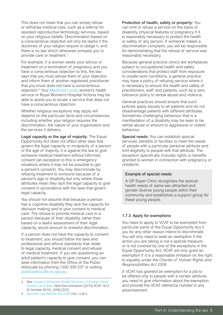This does not mean that you can simply refuse or withdraw medical care, such as a referral for assisted reproductive technology services, based on your religious beliefs. Discrimination based on a conscientious objection will only be lawful if the doctrines of your religion require or oblige it, and there is no law which otherwise compels you to provide care or treatment.3

For example, if a woman seeks your advice or treatment on a termination of pregnancy and you have a conscientious objection to this, the law says that you must advise them of your objection and inform them of another registered practitioner that you know does not have a conscientious objection.4 Your [Medicare Local,](http://www.medicarelocals.gov.au/) women's health service or Royal Women's Hospital Victoria may be able to assist you to locate a service that does not have a conscientious objection.

Whether religious exceptions may apply will depend on the particular facts and circumstances, including whether your religion requires the discrimination, the nature of your organisation and the services it delivers.

Legal capacity or the age of majority: The Equal Opportunity Act does not affect other laws that govern the legal capacity or incapacity of a person or the age of majority. It is against the law to give someone medical treatment without informed consent (an exception to this is emergency situations where it may not be possible to get a person's consent). You may discriminate by refusing treatment to someone because of a person's age or disability but only where those attributes mean they lack the legal capacity to give consent in accordance with the laws that govern legal capacity.

You should not assume that because a person has a cognitive disability they lack the capacity for decision making and to give consent to medical care. The refusal to provide medical care to a person because of their disability, rather than based on a lawful assessment of their legal capacity, would amount to unlawful discrimination.

If a person does not have the capacity to consent to treatment, you should follow the laws and professional and ethical standards that relate to legal capacity, medical consent and refusal of medical treatment. If you are questioning an adult patient's capacity to give consent, you can seek information from the Office of the Public Advocate by phoning 1300 309 337 or visiting [publicadvocate.vic.gov.au.](http://publicadvocate.vic.gov.au)

## Protection of health, safety or property: You can limit or refuse a service on the basis of disability, physical features or pregnancy if it is reasonably necessary to protect the health or safety of any person. If someone makes a discrimination complaint, you will be responsible for demonstrating that the refusal of service was reasonably necessary.

Because general practice clinics are workplaces subject to occupational health and safety considerations that protect staff from exposure to unsafe work conditions, a general practice may have a policy of refusing service where it is necessary to ensure the health and safety of practitioners, staff and patients, such as a zero tolerance policy to verbal abuse and violence.

General practices should ensure that such policies apply equally to all patients and do not disadvantage patients with different attributes. Sometimes challenging behaviour that is a manifestation of a disability may be seen to be verbal abuse or amount to aggressive or violent behaviour.

Special needs: You can establish special services, benefits or facilities to meet the needs of people with a particular personal attribute and limit eligibility to people with that attribute. The exception specifically includes rights or benefits granted to women in connection with pregnancy or childbirth.

#### Example of special needs

A GP Super Clinic recognises the special health needs of same-sex attracted and gender diverse young people within their community and establishes a support group for these young people.

## 1.7.3 Apply for exemptions

You need to apply to VCAT to be exempted from particular parts of the Equal Opportunity Act if you for any other reason intend to discriminate. You will only need to seek an exemption if the action you are taking is not a special measure or is not covered by one of the exceptions in the Equal Opportunity Act. VCAT will only grant an exemption if it is a reasonable limitation on the right to equality under the *Charter of Human Rights and Responsibilities Act 2006*.

If VCAT has granted an exemption for a job to be offered only to people with a certain attribute, you need to give information about the exemption and provide the VCAT reference number in any advertisement.

<sup>3</sup> See *[Cobaw Community Health Services v Christian Youth](http://www.austlii.edu.au/cgi-bin/sinodisp/au/cases/vic/VCAT/2010/1613.html?stem=0&synonyms=0&query=1613)  [Camps Ltd & Anor](http://www.austlii.edu.au/cgi-bin/sinodisp/au/cases/vic/VCAT/2010/1613.html?stem=0&synonyms=0&query=1613) (Anti-Discrimination)* [2010] VCAT 1613 (8 October 2010), [308]-[323].

<sup>4</sup> *[Abortion Law Reform Act 2008](http://www.austlii.edu.au/cgi-bin/sinodisp/au/legis/vic/reprint_act/alra2008209/alra2008a1j2012310.html?stem=0&synonyms=0&query=Abortion%20Law%20Reform%20Act%202008)* (Vic), s 8(1).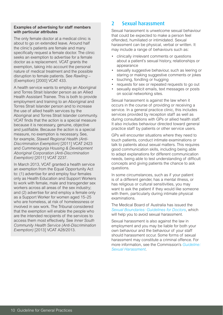## Examples of advertising for staff members with particular attributes

The only female doctor at a medical clinic is about to go on extended leave. Around half the clinic's patients are female and many specifically request a female doctor. The clinic seeks an exemption to advertise for a female doctor as a replacement. VCAT grants the exemption, taking into account the personal nature of medical treatment and the possible disruption to female patients. See *Rawling* – (Exemption) [2000] VCAT 433.

A health service wants to employ an Aboriginal and Torres Strait Islander person as an Allied Health Assistant Trainee. This is both to provide employment and training to an Aboriginal and Torres Strait Islander person and to increase the use of allied health services by the Aboriginal and Torres Strait Islander community. VCAT finds that the action is a special measure because it is necessary, genuine, objective and justifiable. Because the action is a special measure, no exemption is necessary. See, for example, *Stawell Regional Health (Anti-Discrimination Exemption)* [2011] VCAT 2423 and *Cummeragunja Housing & Development Aboriginal Corporation (Anti-Discrimination Exemption)* [2011] VCAT 2237.

In March 2013, VCAT granted a health service an exemption from the Equal Opportunity Act to: (1) advertise for and employ four females only as Health Education and Support Workers to work with female, male and transgender sex workers across all areas of the sex industry; and (2) advertise for and employ a female only as a Support Worker for women aged 15–25 who are homeless, at risk of homelessness or involved in sex work. The Tribunal considered that the exemption will enable the people who are the intended recipients of the services to access them most effectively. See *Inner South Community Health Service (Anti-Discrimination Exemption)* [2013] VCAT A28/2013.

## 2 Sexual harassment

Sexual harassment is unwelcome sexual behaviour that could be expected to make a person feel offended, humiliated or intimidated. Sexual harassment can be physical, verbal or written. It may include a range of behaviours such as:

- • clinically irrelevant comments or questions about a patient's sexual history, relationships or appearance
- sexually suggestive behaviour, such as leering or staring or making suggestive comments or jokes
- touching, fondling or hugging
- requests for sex or repeated requests to go out
- sexually explicit emails, text messages or posts on social networking sites.

Sexual harassment is against the law when it occurs in the course of providing or receiving a service. In a general practice clinic, this includes services provided by reception staff as well as during consultations with GPs or allied health staff. It also includes behaviour directed toward general practice staff by patients or other service users.

GPs will encounter situations where they need to touch patients, conduct intimate examinations or talk to patients about sexual matters. This requires good communication skills, including being able to adapt explanations for different communication needs, being able to test understanding of difficult concepts and giving patients the chance to ask questions.

In some circumstances, such as if your patient is of a different gender, has a mental illness, or has religious or cultural sensitivities, you may want to ask the patient if they would like someone with them, particularly during intimate physical examinations.

The Medical Board of Australia has issued the *[Sexual Boundaries: Guidelines for Doctors](http://www.medicalboard.gov.au/documents/default.aspx?record=WD11%2f6692&dbid=AP&chksum=%2bSkQuHFu9dnNUTI7eBu2qQ%3d%3d)*, which will help you to avoid sexual harassment.

Sexual harassment is also against the law in employment and you may be liable for both your own behaviour and the behaviour of your staff should harassment occur. Some forms of sexual harassment may constitute a criminal offence. For more information, see the Commission's *[Guideline:](http://www.humanrightscommission.vic.gov.au/index.php/our-resources-and-publications/eoa-practice-guidelines/item/562-guideline-sexual-harassment-complying-with-the-equal-opportunity-act-2010)  [Sexual Harassment.](http://www.humanrightscommission.vic.gov.au/index.php/our-resources-and-publications/eoa-practice-guidelines/item/562-guideline-sexual-harassment-complying-with-the-equal-opportunity-act-2010)*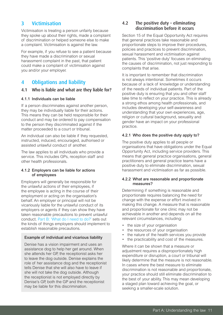# 3 Victimisation

Victimisation is treating a person unfairly because they spoke up about their rights, made a complaint of discrimination or helped someone else to make a complaint. Victimisation is against the law.

For example, if you refuse to see a patient because they have made a discrimination or sexual harassment complaint in the past, that patient could make a complaint of victimisation against you and/or your employer.

# 4 Obligations and liability

## 4.1 Who is liable and what are they liable for?

## 4.1.1 Individuals can be liable

If a person discriminates against another person, they may be individually liable for their actions. This means they can be held responsible for their conduct and may be ordered to pay compensation to the person they discriminated against if the matter proceeded to a court or tribunal.

An individual can also be liable if they requested, instructed, induced, encouraged, authorised or assisted unlawful conduct of another.

The law applies to all individuals who provide a service. This includes GPs, reception staff and other health professionals.

## 4.1.2 Employers can be liable for actions of employees

Employers will generally be responsible for the unlawful actions of their employees, if the employee is acting in the course of their employment or acting on the organisation's behalf. An employer or principal will not be vicariously liable for the unlawful conduct of its employers or agents if they can show they have taken reasonable precautions to prevent unlawful conduct. [Part B: 'What do I need to do?'](#page-14-0) sets out the kinds of things employers should implement to establish reasonable precautions.

## Example of individual and vicarious liability

Denise has a vision impairment and uses an assistance dog to help her get around. When she attends her GP, the receptionist asks her to leave the dog outside. Denise explains the role of her assistance dog and the receptionist tells Denise that she will also have to leave if she will not take the dog outside. Although the receptionist is not employed directly by Denise's GP, both the GP and the receptionist may be liable for this discrimination.

## 4.2 The positive duty – eliminating discrimination before it occurs

Section 15 of the Equal Opportunity Act requires that general practices take reasonable and proportionate steps to improve their procedures, policies and practices to prevent discrimination, sexual harassment and victimisation against patients. This 'positive duty' focuses on eliminating the causes of discrimination, not just responding to complaints that arise.

It is important to remember that discrimination is not always intentional. Sometimes it occurs because of a lack of knowledge or understanding of the needs of individual patients. Part of the positive duty is ensuring that you and other staff take time to reflect on your practice. This is already a strong ethos among health professionals, and includes developing your self-awareness and understanding that your own experiences, age, religion or cultural background, sexuality and gender have an impact on your professional practice.

## 4.2.1 Who does the positive duty apply to?

The positive duty applies to all people or organisations that have obligations under the Equal Opportunity Act, including service providers. This means that general practice organisations, general practitioners and general practice teams have a positive duty to eliminate discrimination, sexual harassment and victimisation as far as possible.

## 4.2.2 What are reasonable and proportionate measures?

Determining if something is reasonable and proportionate requires balancing the need for change with the expense or effort involved in making this change. A measure that is reasonable and proportionate for one clinic may not be achievable in another and depends on all the relevant circumstances, including:

- the size of your organisation
- the resources of your organisation
- the nature of the health services you provide
- the practicability and cost of the measures.

Where it can be shown that a measure or adjustment requires a disproportionately high expenditure or disruption, a court or tribunal will likely determine that the measure is not reasonable. In cases where the best measure to eliminate discrimination is not reasonable and proportionate, your practice should still eliminate discrimination to the best of your ability. This may mean developing a staged plan toward achieving the goal, or seeking a smaller-scale solution.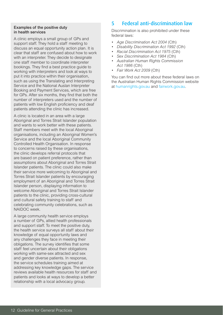### Examples of the positive duty in health services

A clinic employs a small group of GPs and support staff. They hold a staff meeting to discuss an equal opportunity action plan. It is clear that staff are confused about how to work with an interpreter. They decide to designate one staff member to coordinate interpreter bookings. They find a best practice guide to working with interpreters and look at ways to put it into practice within their organisation, such as using the Translating and Interpreting Service and the National Auslan Interpreter Booking and Payment Services, which are free for GPs. After six months, they find that both the number of interpreters used and the number of patients with low English proficiency and deaf patients attending the clinic has increased.

A clinic is located in an area with a large Aboriginal and Torres Strait Islander population and wants to work better with these patients. Staff members meet with the local Aboriginal organisations, including an Aboriginal Women's Service and the local Aboriginal Community Controlled Health Organisation. In response to concerns raised by these organisations, the clinic develops referral protocols that are based on patient preference, rather than assumptions about Aboriginal and Torres Strait Islander patients. The clinic could also make their service more welcoming to Aboriginal and Torres Strait Islander patients by encouraging employment of an Aboriginal and Torres Strait Islander person, displaying information to welcome Aboriginal and Torres Strait Islander patients to the clinic, providing cross-cultural and cultural safety training to staff and celebrating community celebrations, such as NAIDOC week.

A large community health service employs a number of GPs, allied health professionals and support staff. To meet the positive duty, the health service surveys all staff about their knowledge of equal opportunity laws and any challenges they face in meeting their obligations. The survey identifies that some staff feel uncertain about their obligations working with same-sex attracted and sex and gender diverse patients. In response, the service schedules training aimed at addressing key knowledge gaps. The service reviews available health resources for staff and patients and looks at ways to develop a better relationship with a local advocacy group.

# 5 Federal anti-discrimination law

Discrimination is also prohibited under these federal laws:

- Age Discrimination Act 2004 (Cth)
- *Disability Discrimination Act 1992 (Cth)*
- **Racial Discrimination Act 1975 (Cth)**
- **Sex Discrimination Act 1984 (Cth)**
- • *Australian Human Rights Commission Act 1986* (Cth)
- • *Fair Work Act 2009* (Cth)

You can find out more about these federal laws on the Australian Human Rights Commission website at [humanrights.gov.au](https://www.humanrights.gov.au/) and [fairwork.gov.au](http://www.fairwork.gov.au/Pages/default.aspx).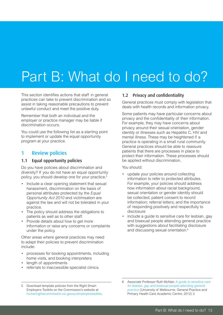# <span id="page-14-0"></span>Part B: What do I need to do?

This section identifies actions that staff in general practices can take to prevent discrimination and so assist in taking reasonable precautions to prevent unlawful conduct and meet the positive duty.

Remember that both an individual and the employer or practice manager may be liable if discrimination occurs.

You could use the following list as a starting point to implement or update the equal opportunity program at your practice.

## 1 Review policies

## 1.1 Equal opportunity policies

Do you have policies about discrimination and diversity? If you do not have an equal opportunity policy, you should develop one for your practice.5

- Include a clear opening statement that sexual harassment, discrimination on the basis of personal attributes protected by the *Equal Opportunity Act 2010* and victimisation are against the law and will not be tolerated in your practice.
- The policy should address the obligations to patients as well as to other staff.
- Provide details about how to get more information or raise any concerns or complaints under the policy.

Other areas where general practices may need to adapt their policies to prevent discrimination include:

- processes for booking appointments, including home visits, and booking interpreters
- length of appointments
- • referrals to inaccessible specialist clinics.

## 1.2 Privacy and confidentiality

General practices must comply with legislation that deals with health records and information privacy.

Some patients may have particular concerns about privacy and the confidentiality of their information. For example, they may have concerns about privacy around their sexual orientation, gender identity or illnesses such as Hepatitis C, HIV and mental illness. These may be heightened if a practice is operating in a small rural community. General practices should be able to reassure patients that there are processes in place to protect their information. These processes should be applied without discrimination.

You should:

- update your policies around collecting information to refer to protected attributes. For example, your policies should address how information about racial background, sexual orientation or gender identity should be collected; patient consent to record information; referral letters; and the importance of responding positively and respectfully to disclosure
- include a quide to sensitive care for lesbian, gay and bisexual people attending general practice with suggestions about facilitating disclosure and discussing sexual orientation.<sup>6</sup>

5 Download template policies from the Right Smart Employers Toolkits on the Commission's website at [humanrightscommission.vic.gov.au/employerstoolkits](http://www.humanrightscommission.vic.gov.au/employerstoolkits).

<sup>6</sup> Associate Professor Ruth McNair, *[A guide to sensitive care](http://www.glhv.org.au/fact-sheet/guide-sensitive-care-lgb-people-attending-general-practice)  [for lesbian, gay and bisexual people attending general](http://www.glhv.org.au/fact-sheet/guide-sensitive-care-lgb-people-attending-general-practice)  [practice](http://www.glhv.org.au/fact-sheet/guide-sensitive-care-lgb-people-attending-general-practice)* (University of Melbourne, General Practice and Primary Health Care Academic Centre, 2012) 3.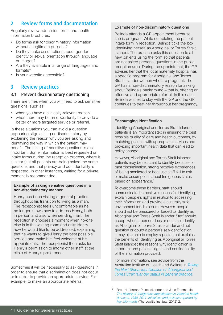# 2 Review forms and documentation

Regularly review admission forms and health information brochures:

- Do forms ask for discriminatory information without a legitimate purpose?
- Do they make assumptions about gender identity or sexual orientation through language or images?
- Are they available in a range of languages and formats?
- Is your website accessible?

## 3 Review practices

## <span id="page-15-0"></span>3.1 Prevent discriminatory questioning

There are times when you will need to ask sensitive questions, such as:

- when you have a clinically-relevant reason
- when there may be an opportunity to provide a better or more targeted service or referral.

In these situations you can avoid a question appearing stigmatising or discriminatory by explaining the reason why you are asking and identifying the way in which the patient may benefit. The timing of sensitive questions is also important. Some information is best requested on intake forms during the reception process, where it is clear that all patients are being asked the same questions and that privacy and confidentiality is respected. In other instances, waiting for a private moment is recommended.

## Example of asking sensitive questions in a non-discriminatory manner

Henry has been visiting a general practice throughout his transition to living as a man. The receptionist feels uncomfortable as he no longer knows how to address Henry, both in person and also when sending mail. The receptionist chooses a moment when no-one else is in the waiting room and asks Henry how he would like to be addressed, explaining that he wants to give Henry the best possible service and make him feel welcome at his appointments. The receptionist then asks for Henry's permission to inform other staff at the clinic of Henry's preference.

Sometimes it will be necessary to ask questions in order to ensure that discrimination does not occur, or in order to provide an appropriate service. For example, to make an appropriate referral.

## Example of non-discriminatory questions

Belinda attends a GP appointment because she is pregnant. While completing the patient intake form in reception, Belinda ticks the box identifying herself as Aboriginal or Torres Strait Islander. The practice asks this question to all new patients using the form so that patients are not asked personal questions in the public reception area. During the appointment, the GP advises her that the local maternity hospital has a specific program for Aboriginal and Torres Strait Islander women who are pregnant. The GP has a non-discriminatory reason for asking about Belinda's background – that is, offering an effective and appropriate referral. In this case, Belinda wishes to stay with the GP and the GP continues to treat her throughout her pregnancy.

## Encouraging identification

Identifying Aboriginal and Torres Strait Islander patients is an important step in ensuring the best possible quality of care and health outcomes, by matching patients with appropriate services and providing important health data that can lead to policy change.

However, Aboriginal and Torres Strait Islander patients may be reluctant to identify because of past discrimination, strong negative experiences of being monitored or because staff fail to ask or make assumptions about Indigenous status based on appearance.<sup>6</sup>

To overcome these barriers, staff should communicate the positive reasons for identifying, explain people's rights in relation to accessing their information and provide a culturally safe environment for disclosure. However, people should not be pressured or forced to identify as Aboriginal and Torres Strait Islander. Staff should accept when a person does or does not identify as Aboriginal or Torres Strait Islander and not question or doubt a person's self-identification. It may also help to display a poster that explains the benefits of identifying as Aboriginal or Torres Strait Islander, the reasons why identification is important and patients' rights and confidentiality of the information provided.

For more information, see advice from the Australian Institute of Health and Welfare in *[Taking](http://www.aihw.gov.au/publication-detail/?id=60129543899) [the Next Steps: identification of Aboriginal and](http://www.aihw.gov.au/publication-detail/?id=60129543899)  [Torres Strait Islander status in general practice](http://www.aihw.gov.au/publication-detail/?id=60129543899)*.

<sup>7</sup> Bree Heffernan, Dulce Iskandar and Jane Freemantle, *[The history of Indigenous identification in Victorian health](http://)  [datasets, 1980–2011: Initiatives and policies reported by](http://)  [key informants](http://)* (The Lowitja Institute, 2012) 2.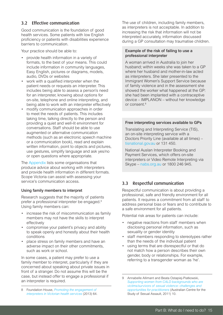## <span id="page-16-0"></span>3.2 Effective communication

Good communication is the foundation of good health services. Some patients with low English proficiency or patients with disabilities experience barriers to communication.

Your practice should be able to:

- • provide health information in a variety of formats, to the best of your means. This could include information in community languages, Easy English, pictures or diagrams, models, audio, DVDs or websites
- • work with a qualified interpreter when the patient needs or requests an interpreter. This includes being able to assess a person's need for an interpreter, knowing about options for on-site, telephone and online interpreting, and being able to work with an interpreter effectively
- modify communication approaches in order to meet the needs of patients. This includes taking time, talking directly to the person and providing a quiet and well-lit environment for conversations. Staff should be able to use augmented or alternative communication methods (such as an electronic speech machine or a communication book), read and explain written information, point to objects and pictures, use gestures, simplify language and ask yes/no or open questions where appropriate.

The [Appendix](#page-24-0) lists some organisations that produce advice about working with interpreters and provide health information in different formats. Scope Victoria can assist with assessing your service's communication access.

## Using family members to interpret

Research suggests that the majority of patients prefer a professional interpreter be engaged.8 Using family members can:

- increase the risk of miscommunication as family members may not have the skills to interpret effectively
- compromise your patient's privacy and ability to speak openly and honestly about their health conditions
- place stress on family members and have an adverse impact on their other commitments, such as work or school.

In some cases, a patient may prefer to use a family member to interpret, particularly if they are concerned about speaking about private issues in front of a stranger. Do not assume this will be the case, but instead offer to engage a professional if an interpreter is required.

8 Foundation House, *[Promoting the engagement of](http://refugeehealthnetwork.org.au/promoting-the-engagement-of-interpreters-in-victorian-health-services/)  [interpreters in Victorian health services](http://refugeehealthnetwork.org.au/promoting-the-engagement-of-interpreters-in-victorian-health-services/)* (2013) 64. The use of children, including family members, as interpreters is not acceptable. In addition to increasing the risk that information will not be interpreted accurately, information discussed during a GP consultation may traumatise children.

## Example of the risk of failing to use a professional interpreter

A woman arrived in Australia to join her husband; within weeks she was taken to a GP where her husband and mother-in-law acted as interpreters. She later presented to the Immigrant Women's Support Service because of family violence and in the assessment she showed the worker what happened at the GP: she had been implanted with a contraceptive device – IMPLANON – without her knowledge or consent.<sup>8</sup>

## Free interpreting services available to GPs

Translating and Interpreting Service (TIS), an on-site interpreting service with a Doctors Priority Line (available at all times) – [tisnational.gov.au](http://www.tisnational.gov.au) or 131 450.

National Auslan Interpreter Booking and Payment Services, which offers on-site interpreters or Video Remote Interpreting via Skype – [nabs.org.au](http://www.nabs.org.au) or 1800 246 945.

## 3.3 Respectful communication

Respectful communication is about providing a professional, safe and friendly environment for all patients. It requires a commitment from all staff to address personal bias or fears and to contribute to a safe environment for all patients.

Potential risk areas for patients can include:

- negative reactions from staff members when disclosing personal information, such as sexuality or gender identity
- staff members responding to stereotypes rather than the needs of the individual patient
- using terms that are disrespectful or that do not match how a person describes their own gender, body or relationships. For example, referring to a transgender woman as 'he'.

<sup>9</sup> Annabelle Allimant and Beata Ostapiej-Piatkowski, *[Supporting women from CALD backgrounds who are](http://www.aifs.gov.au/acssa/pubs/wrap/wrap9/)  [victims/survivors of sexual violence: challenges and](http://www.aifs.gov.au/acssa/pubs/wrap/wrap9/)  [opportunities for practitioners](http://www.aifs.gov.au/acssa/pubs/wrap/wrap9/)* (Australian Centre for the Study of Sexual Assault, 2011) 10.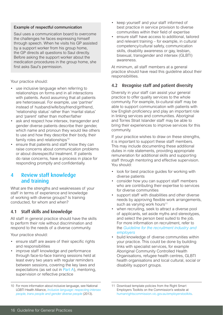## Example of respectful communication

Saul uses a communication board to overcome the challenges he faces expressing himself through speech. When he visits his GP assisted by a support worker from his group home, the GP directs all questions to Saul directly. Before asking the support worker about the medication procedures in the group home, she first asks Saul's permission.

Your practice should:

- use inclusive language when referring to relationships on forms and in all interactions with patients. Avoid assuming that all patients are heterosexual. For example, use 'partner' instead of husband/wife/boyfriend/girlfriend, 'relationship status' rather than 'marital status' and 'parent' rather than mother/father
- ask and respect how intersex, transgender and gender diverse patients describe their gender, which name and pronoun they would like others to use and how they describe their body, their family roles and relationships<sup>10</sup>
- ensure that patients and staff know they can raise concerns about communication problems or about disrespectful treatment. If patients do raise concerns, have a process in place for responding promptly and confidentially.

## 4 Review staff knowledge and training

What are the strengths and weaknesses of your staff in terms of experience and knowledge of working with diverse groups? Is training conducted, for whom and when?

## 4.1 Staff skills and knowledge

All staff in general practice should have the skills to perform their role without discrimination and respond to the needs of a diverse community.

Your practice should:

- ensure staff are aware of their specific rights and responsibilities
- improve staff knowledge and performance through face-to-face training sessions held at least every two years with regular reminders between sessions, covering the key laws and expectations (as set out in [Part A](#page-5-0)), mentoring, supervision or reflective practice
- keep yourself and your staff informed of best practice in service provision to diverse communities within their field of expertise
- ensure staff have access to additional, tailored and relevant training – for example, in cultural competency/cultural safety, communication skills, disability awareness or gay, lesbian, bisexual, transgender and intersex (GLBTI) awareness.

At minimum, all staff members at a general practice should have read this guideline about their responsibilities.

## 4.2 Recognise staff and patient diversity

Diversity in your staff can assist your general practice to offer quality services to the whole community. For example, bi-cultural staff may be able to support communication with patients with low English proficiency and play an important role in linking services and communities. Aboriginal and Torres Strait Islander staff may be able to bring their experiences to improve services for this community.

If your practice wishes to draw on these strengths, it is important to support these staff members. This may include documenting these additional duties in role statements, providing appropriate remuneration for additional skills and supporting staff through mentoring and effective supervision. You should:

- look for best practice guides for working with diverse patients
- consider how you can support staff members who are contributing their expertise to services for diverse communities
- support staff with disabilities and other diverse needs by approving flexible work arrangements, such as varying work hours<sup>11</sup>
- when recruiting, seek to attract a diverse pool of applicants, set aside myths and stereotypes, and select the person best suited to the job. For more information on recruitment, refer to the *[Guideline for the recruitment industry and](http://www.humanrightscommission.vic.gov.au/index.php/our-resources-and-publications/eoa-practice-guidelines/item/515-guideline-for-the-recruitment-industry-and-employers-complying-with-the-equal-opportunity-act-2010-in-recruitment)  [employers](http://www.humanrightscommission.vic.gov.au/index.php/our-resources-and-publications/eoa-practice-guidelines/item/515-guideline-for-the-recruitment-industry-and-employers-complying-with-the-equal-opportunity-act-2010-in-recruitment)*
- build knowledge of diverse communities within your practice. This could be done by building links with specialist services, for example Aboriginal Community Controlled Health Organisations, refugee health centres, GLBTI health organisations and local cultural, social or disability support groups.

11 Download template policies from the Right Smart Employers Toolkits on the Commission's website at [humanrightscommission.vic.gov.au/employerstoolkits](http://www.humanrightscommission.vic.gov.au/employerstoolkits).

<sup>10</sup> For more information about inclusive language, see National LGBTI Health Alliance, *[Inclusive language: respecting intersex](http://www.lgbthealth.org.au/diversity) [people, trans people and gender diverse people](http://www.lgbthealth.org.au/diversity)* (2013).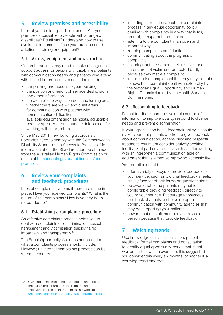# 5 Review premises and accessibility

Look at your building and equipment. Are your premises accessible to people with a range of disabilities? Do all staff understand how to use available equipment? Does your practice need additional training or equipment?

## 5.1 Access, equipment and infrastructure

General practices may need to make changes to support access for people with disabilities, patients with communication needs and patients who attend with their children. Issues to consider include:

- car parking and access to your building
- the position and height of service desks, signs and other information
- the width of doorways, corridors and turning areas
- whether there are well-lit and quiet areas for communication with patients with communication difficulties
- available equipment such as hoists, adjustable beds or speaker or dual handset telephones for working with interpreters.

Since May 2011, new building approvals or upgrades need to comply with the Commonwealth Disability Standards on Access to Premises. More information about the Standards can be obtained from the Australian Human Rights Commission or online at [humanrights.gov.au/publications/access](http://www.humanrights.gov.au/publications/access-premises)[premises](http://www.humanrights.gov.au/publications/access-premises).

## 6 Review your complaints and feedback procedures

Look at complaints systems if there are some in place. Have you received complaints? What is the nature of the complaints? How have they been responded to?

## 6.1 Establishing a complaints procedure

An effective complaints process helps you to deal with complaints of discrimination, sexual harassment and victimisation quickly, fairly, impartially and transparently.12

The Equal Opportunity Act does not prescribe what a complaints process should include. However, an internal complaints process can be strengthened by:

- including information about the complaints process in any equal opportunity policy
- dealing with complaints in a way that is fair, prompt, transparent and confidential
- listening to the complaint in an open and impartial way
- keeping complaints confidential
- communicating about the progress of complaints
- ensuring that the person, their relatives and carers are not victimised or treated badly because they made a complaint
- informing the complainant that they may be able to have their complaint dealt with externally by the Victorian Equal Opportunity and Human Rights Commission or by the Health Services Commissioner.

## 6.2 Responding to feedback

Patient feedback can be a valuable source of information to improve quality, respond to diverse needs and prevent discrimination.

If your organisation has a feedback policy, it should make clear that patients are free to give feedback about communication, accessibility and respectful treatment. You might consider actively seeking feedback at particular points, such as after working with an interpreter, a communication aide or equipment that is aimed at improving accessibility.

Your practice should:

- offer a variety of ways to provide feedback to your service, such as pictorial feedback sheets, smiley face feedback forms or questionnaires
- be aware that some patients may not feel comfortable providing feedback directly to you or your service. Encourage anonymous feedback channels and develop open communication with community agencies that may be supporting your patients
- beware that no staff member victimises a person because they provide feedback.

# 7 Watching trends

Use knowledge of staff information, patient feedback, formal complaints and consultation to identify equal opportunity issues that might warrant further action over time. It is suggested you consider this every six months, or sooner if a worrying trend emerges.

12 Download a checklist to help you create an effective complaints procedure from the Right Smart Employers Toolkits on the Commission's website at [humanrightscommission.vic.gov.au/employerstoolkits](http://www.humanrightscommission.vic.gov.au/employerstoolkits).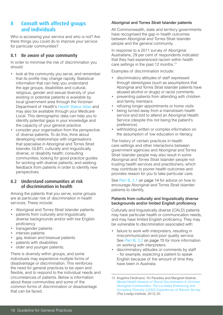# 8 Consult with affected groups and individuals

Who is accessing your service and who is not? Are there things you could do to improve your service for particular communities?

## 8.1 Be aware of your community

In order to minimise the risk of discrimination you should:

- look at the community you serve, and remember that its profile may change rapidly. Statistical information that can help you understand the age groups, disabilities and cultural, religious, gender and sexual diversity of your existing or potential patients is available by local government area through the Victorian Department of Health's [Health Status Atlas](http://www.health.vic.gov.au/healthstatus/atlas/) and may also be available through your Medicare Local. This demographic data can help you to identify potential gaps in your knowledge and the capacity of your general practice
- consider your organisation from the perspective of diverse patients. To do this, think about developing relationships with organisations that specialise in Aboriginal and Torres Strait Islander, GLBTI, culturally and linguistically diverse, or disability health; consulting communities; looking for good practice guides for working with diverse patients; and seeking feedback from patients in order to identify new perspectives.

## 8.2 Understand communities at risk of discrimination in health

Among the patients that you serve, some groups are at particular risk of discrimination in health services. These include:

- Aboriginal and Torres Strait Islander patients
- patients from culturally and linguistically diverse backgrounds and/or with low English proficiency
- • transgender patients
- intersex patients
- gay, lesbian and bisexual patients
- patients with disabilities
- older and younger patients.

There is diversity within groups, and some individuals may experience multiple forms of disadvantage or discrimination. This reinforces the need for general practices to be open and flexible, and to respond to the individual needs and circumstances of patients. Below is information about these communities and some of the common forms of discrimination or disadvantage that can be faced.

## Aboriginal and Torres Strait Islander patients

All Commonwealth, state and territory governments have recognised the gap in health outcomes between Aboriginal and Torres Strait Islander people and the general community.

In response to a 2011 survey of Aboriginal Australians, 29 per cent of respondents indicated that they had experienced racism within health care settings in the past 12 months.<sup>13</sup>

Examples of discrimination include:

- discriminatory attitudes of staff expressed through stereotypes (such as assumptions that Aboriginal and Torres Strait Islander patients have abused alcohol or drugs) or racist comments
- preventing patients from attending with children and family members
- refusing longer appointments or home visits
- being turned away from a mainstream health service and told to attend an Aboriginal Health Service (despite this not being the patient's preference)
- withholding written or complex information on the assumption of low education or literacy.

The history of certain practices in health care settings and other interactions between government agencies and Aboriginal and Torres Strait Islander people may also result in some Aboriginal and Torres Strait Islander people not trusting health services and practitioners, which may contribute to poorer health outcomes and provides reason for you to take particular care.

See [Part B, 3.1 on page 14](#page-15-0) for advice on how to encourage Aboriginal and Torres Strait Islander patients to identify.

### Patients from culturally and linguistically diverse backgrounds and/or limited English proficiency

Culturally and linguistically diverse (CALD) patients may have particular health or communication needs, and may have limited English proficiency. They may be vulnerable to discrimination associated with:

- failure to work with interpreters, resulting in miscommunication and poor quality service. See [Part B, 3.2 on page 15](#page-16-0) for more information on working with interpreters
- discriminatory attitudes or comments by staff – for example, expecting a patient to speak English because of the amount of time they have been in Australia

<sup>13</sup> Angeline Ferdinand, Yin Paradies and Margaret Kelaher, *[Mental Health Impacts of Racial Discrimination in Victorian](http://www.vichealth.vic.gov.au/~/media/ResourceCentre/PublicationsandResources/Discrimination/Mental%20health%20impacts_racial%20discrim_Indigenous.ashx)  [Aboriginal Communities: The Localities Embracing and](http://www.vichealth.vic.gov.au/~/media/ResourceCentre/PublicationsandResources/Discrimination/Mental%20health%20impacts_racial%20discrim_Indigenous.ashx)  [Accepting Diversity \(LEAD\) Experiences of Racism Survey](http://www.vichealth.vic.gov.au/~/media/ResourceCentre/PublicationsandResources/Discrimination/Mental%20health%20impacts_racial%20discrim_Indigenous.ashx)* (The Lowitja Institute, 2012) 20.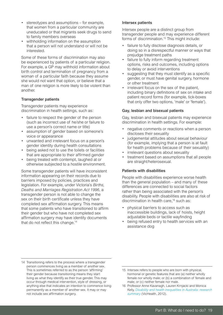- stereotypes and assumptions for example, that women from a particular community are uneducated or that migrants seek drugs to send to family members overseas
- withholding information on the assumption that a person will not understand or will not be interested.

Some of these forms of discrimination may also be experienced by patients of a particular religion. For example, a GP may withhold information about birth control and termination of pregnancy from a woman of a particular faith because they assume she would not want that option, or believe that a man of one religion is more likely to be violent than another.

## Transgender patients

Transgender patients may experience discrimination in health settings, such as:

- failure to respect the gender of the person (such as incorrect use of he/she or failure to use a person's correct name or title)
- • assumption of gender based on someone's voice or appearance
- • unwanted and irrelevant focus on a person's gender identity during health consultations
- being asked not to use the toilets or facilities that are appropriate to their affirmed gender
- being treated with contempt, laughed at or otherwise subjected to a hostile environment.

Some transgender patients will have inconsistent information appearing on their records due to barriers imposed by policies, practices and legislation. For example, under Victoria's *Births, Deaths and Marriages Registration Act 1996,* a transgender person is not able to change the sex on their birth certificate unless they have completed sex affirmation surgery. This means that some patients who have transitioned to affirm their gender but who have not completed sex affirmation surgery may have identity documents that do not reflect this change.<sup>14</sup>

#### Intersex patients

Intersex people are a distinct group from transgender people and may experience different forms of discrimination.15 This might include:

- failure to fully disclose diagnosis details, or doing so in a disrespectful manner or ways that prejudge treatment paths
- failure to fully inform regarding treatment options, risks and outcomes, including options to delay or avoid interventions
- suggesting that they must identify as a specific gender, or must have genital surgery, hormone or other treatment
- irrelevant focus on the sex of the patient, including binary definitions of sex on intake and patient record forms (for example, tick-boxes that only offer two options, 'male' or 'female').

## Gay, lesbian and bisexual patients

Gay, lesbian and bisexual patients may experience discrimination in health settings. For example:

- negative comments or reactions when a person discloses their sexuality
- judgemental attitudes about sexual behaviour (for example, implying that a person is at fault for health problems because of their sexuality)
- • irrelevant questions about sexuality
- treatment based on assumptions that all people are straight/heterosexual.

#### Patients with disabilities

People with disabilities experience worse health than the general population – and many of these differences are connected to social factors rather than being associated with the person's disability. People with disabilities are also at risk of discrimination in health care,<sup>16</sup> such as:

- • physical barriers to access such as inaccessible buildings, lack of hoists, height adjustable beds or tactile wayfinding
- being refused entry to health services with an assistance dog

<sup>14</sup> Transitioning refers to the process where a transgender person commences living as a member of another sex. This is sometimes referred to as the person 'affirming' their gender because transitioning means they start living as what they identify as their true gender. This may occur through medical intervention, style of dressing, or anything else that indicates an intention to commence living permanently as a member of another sex. It may or may not include sex affirmation surgery.

<sup>15</sup> Intersex refers to people who are born with physical, hormonal or genetic features that are (a) neither wholly female nor wholly male; or (b) a combination of female and male; or (c) neither female nor male.

<sup>16</sup> Professor Anne Kavanagh, Lauren Krnjacki and Monica Kelly, *[Disability and health inequalities in Australia: research](http://www.vichealth.vic.gov.au/Publications/Health-Inequalities/Disability-and-health-inequalities-in-Australia.aspx)  [summary](http://www.vichealth.vic.gov.au/Publications/Health-Inequalities/Disability-and-health-inequalities-in-Australia.aspx)* (VicHealth, 2012).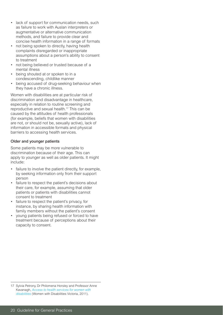- lack of support for communication needs, such as failure to work with Auslan interpreters or augmentative or alternative communication methods, and failure to provide clear and concise health information in a range of formats
- not being spoken to directly, having health complaints disregarded or inappropriate assumptions about a person's ability to consent to treatment
- not being believed or trusted because of a mental illness
- being shouted at or spoken to in a condescending, childlike manner
- being accused of drug-seeking behaviour when they have a chronic illness.

Women with disabilities are at particular risk of discrimination and disadvantage in healthcare, especially in relation to routine screening and reproductive and sexual health.17 This can be caused by the attitudes of health professionals (for example, beliefs that women with disabilities are not, or should not be, sexually active), lack of information in accessible formats and physical barriers to accessing health services.

## Older and younger patients

Some patients may be more vulnerable to discrimination because of their age. This can apply to younger as well as older patients. It might include:

- failure to involve the patient directly, for example, by seeking information only from their support person
- failure to respect the patient's decisions about their care, for example, assuming that older patients or patients with disabilities cannot consent to treatment
- failure to respect the patient's privacy, for instance, by sharing health information with family members without the patient's consent
- • young patients being refused or forced to have treatment because of perceptions about their capacity to consent.

<sup>17</sup> Sylvia Petrony, Dr Philomena Horsley and Professor Anne Kavanagh, *[Access to health services for women with](http://)  [disabilities](http://)* (Women with Disabilities Victoria, 2011).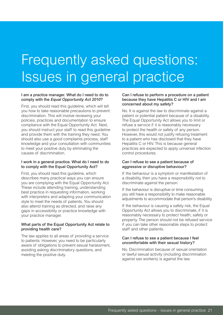# Frequently asked questions: Issues in general practice

## I am a practice manager. What do I need to do to comply with the *Equal Opportunity Act 2010*?

First, you should read this guideline, which will tell you how to take reasonable precautions to prevent discrimination. This will involve reviewing your policies, practices and documentation to ensure compliance with the Equal Opportunity Act. Next, you should instruct your staff to read this guideline and provide them with the training they need. You should also use a good complaints process, staff knowledge and your consultation with communities to meet your positive duty by eliminating the causes of discrimination.

## I work in a general practice. What do I need to do to comply with the Equal Opportunity Act?

First, you should read this guideline, which describes many practical ways you can ensure you are complying with the Equal Opportunity Act. These include attending training, understanding best practice in requesting information, working with interpreters and adapting your communication style to meet the needs of patients. You should also attend training as directed, and raise any gaps in accessibility or practice knowledge with your practice manager.

## What parts of the Equal Opportunity Act relate to providing health care?

The law applies to all areas of providing a service to patients. However, you need to be particularly aware of obligations to prevent sexual harassment, avoiding asking discriminatory questions, and meeting the positive duty.

## Can I refuse to perform a procedure on a patient because they have Hepatitis C or HIV and I am concerned about my safety?

No. It is against the law to discriminate against a patient or potential patient because of a disability. The Equal Opportunity Act allows you to limit or refuse a service if it is reasonably necessary to protect the health or safety of any person. However, this would not justify refusing treatment to a patient who has disclosed that they have Hepatitis C or HIV. This is because general practices are expected to apply universal infection control procedures.

## Can I refuse to see a patient because of aggressive or disruptive behaviour?

If the behaviour is a symptom or manifestation of a disability, then you have a responsibility not to discriminate against the person.

If the behaviour is disruptive or time consuming you still have a responsibility to make reasonable adjustments to accommodate that person's disability.

If the behaviour is causing a safety risk, the Equal Opportunity Act allows you to discriminate, if it is reasonably necessary to protect health, safety or property. The person should not be refused service if you can take other reasonable steps to protect staff and other patients.

#### Can I refuse to see a patient because I feel uncomfortable with their sexual history?

No. Discrimination because of sexual orientation or lawful sexual activity (including discrimination against sex workers) is against the law.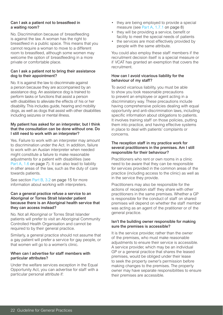#### Can I ask a patient not to breastfeed in a waiting room?

No. Discrimination because of breastfeeding is against the law. A woman has the right to breastfeed in a public space. This means that you cannot require a woman to move to a different room to breastfeed, although some women may welcome the option of breastfeeding in a more private or comfortable place.

## Can I ask a patient not to bring their assistance dog to their appointment?

No. It is against the law to discriminate against a person because they are accompanied by an assistance dog. An assistance dog is trained to perform tasks or functions that assist a person with disabilities to alleviate the effects of his or her disability. This includes guide, hearing and mobility dogs, as well as dogs that assist with other disabilities including seizures or mental illness.

## My patient has asked for an interpreter, but I think that the consultation can be done without one. Do I still need to work with an interpreter?

Yes. Failure to work with an interpreter may amount to discrimination under the Act. In addition, failure to work with an Auslan interpreter when needed might constitute a failure to make reasonable adjustments for a patient with disabilities (see [Part A, 1.6 on page 7](#page-8-0)). It can also lead to liability in other areas of the law, such as the duty of care towards patients.

See section [Part B, 3.2 on page 1](#page-16-0)5 for more information about working with interpreters.

## Can a general practice refuse a service to an Aboriginal or Torres Strait Islander patient because there is an Aboriginal health service that they can access instead?

No. Not all Aboriginal or Torres Strait Islander patients will prefer to visit an Aboriginal Community Controlled Health Organisation and cannot be required to by their general practice.

Similarly, a general practice should not assume that a gay patient will prefer a service for gay people, or that women will go to a women's clinic.

## When can I advertise for staff members with particular attributes?

Under the welfare services exception in the Equal Opportunity Act, you can advertise for staff with a particular personal attribute if:

- they are being employed to provide a special measure (see [Part A, 1.7.1 on page 8\)](#page-9-0)
- they will be providing a service, benefit or facility to meet the special needs of patients
- the services are most effectively provided by people with the same attribute.

You could also employ these staff members if the recruitment decision itself is a special measure or if VCAT has granted an exemption that covers the recruitment.

## How can I avoid vicarious liability for the behaviour of my staff?

To avoid vicarious liability, you must be able to show you took reasonable precautions to prevent an employee or agent acting in a discriminatory way. These precautions include having comprehensive policies dealing with equal opportunity and anti-discrimination laws, including specific information about obligations to patients. It involves training staff on those policies, putting them into practice, and having effective systems in place to deal with patients' complaints or concerns.

## The reception staff in my practice work for several practitioners in the premises. Am I still responsible for their behaviour?

Practitioners who rent or own rooms in a clinic need to be aware that they can be responsible for services provided in the common areas of the practice (including access to the clinic) as well as in the service they provide.

Practitioners may also be responsible for the actions of reception staff they share with other practitioners in the same premises. Whether a GP is responsible for the conduct of staff on shared premises will depend on whether the staff member was acting as an agent of the pratitioner or of the general practice.

## Isn't the building owner responsible for making sure the premises is accessible?

It is the service provider, rather than the owner of the premises, who must make reasonable adjustments to ensure their service is accessible. A service provider, which may be an individual GP or a general practice that shares the leased premises, would be obliged under their lease to seek the property owner's permission before making changes to the premises. The property owner may have separate responsibilities to ensure their premises are accessible.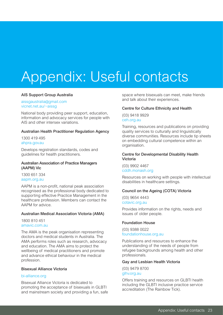# <span id="page-24-0"></span>Appendix: Useful contacts

#### AIS Support Group Australia

#### [aissgaustralia@gmail.com](mailto:aissgaustralia%40gmail.com%20?subject=) [vicnet.net.au/~aissg](http://home.vicnet.net.au/~aissg/)

National body providing peer support, education, information and advocacy services for people with AIS and other intersex variations.

#### Australian Health Practitioner Regulation Agency

1300 419 495 [ahpra.gov.au](http://ahpra.gov.au)

Develops registration standards, codes and guidelines for health practitioners.

#### Australian Association of Practice Managers (AAPM) Vic

1300 651 334 [aapm.org.au](http://www.aapm.org.au/)

AAPM is a non-profit, national peak association recognised as the professional body dedicated to supporting effective Practice Management in the healthcare profession. Members can contact the AAPM for advice.

#### Australian Medical Association Victoria (AMA)

1800 810 451 [amavic.com.au](http://www.ama.com.au)

The AMA is the peak organisation representing doctors and medical students in Australia. The AMA performs roles such as research, advocacy and education. The AMA aims to protect the wellbeing of medical practitioners and promote and advance ethical behaviour in the medical profession.

#### Bisexual Alliance Victoria

#### [bi-alliance.org](http://www.bi-alliance.org)

Bisexual Alliance Victoria is dedicated to promoting the acceptance of bisexuals in GLBTI and mainstream society and providing a fun, safe space where bisexuals can meet, make friends and talk about their experiences.

#### Centre for Culture Ethnicity and Health

(03) 9418 9929 [ceh.org.au](http://www.ceh.org.au)

Training, resources and publications on providing quality services to culturally and linguistically diverse communities. Resources include tip sheets on embedding cultural competence within an organisation.

#### Centre for Developmental Disability Health Victoria

(03) 9902 4467 [cddh.monash.org](http://www.ccdh.monash.org)

Resources on working with people with intellectual disabilities in healthcare settings.

#### Council on the Ageing (COTA) Victoria

(03) 9654 4443 [cotavic.org.au](http://www.cotavic.org.au/)

Provides information on the rights, needs and issues of older people.

#### Foundation House

(03) 9388 0022 [foundationhouse.org.au](http://www.foundationhouse.org.au)

Publications and resources to enhance the understanding of the needs of people from refugee backgrounds among health and other professionals.

#### Gay and Lesbian Health Victoria

(03) 9479 8700 [glhv.org.au](http://www.glhv.org.au)

Offers training and resources on GLBTI health including the GLBTI inclusive practice service accreditation (The Rainbow Tick).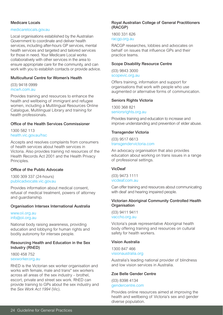## Medicare Locals

#### [medicarelocals.gov.au](http://www.medicarelocals.gov.au)

Local organisations established by the Australian Government to coordinate and deliver health services, including after-hours GP services, mental health services and targeted and tailored services for those in need. Your Medicare Local works collaboratively with other services in the area to ensure appropriate care for the community, and can work with you to establish contacts or provide advice.

## Multicultural Centre for Women's Health

(03) 9418 0999 [mcwh.com.au](http://www.mcwh.com.au)

Provides training and resources to enhance the health and wellbeing of immigrant and refugee women, including a Multilingual Resources Online Catalogue, Multilingual Library and training for health professionals.

## Office of the Health Services Commissioner

1300 582 113 [health.vic.gov.au/hsc](http://www.health.vic.gov.au/hsc)

Accepts and resolves complaints from consumers of health services about health services in Victoria. Also provides training nd resources of the Health Records Act 2001 and the Health Privacy Principles.

## Office of the Public Advocate

1300 309 337 (24-hours) [publicadvocate.vic.gov.au](http://www.publicadvocate.vic.gov.au)

Provides information about medical consent, refusal of medical treatment, powers of attorney and guardianship.

#### Organisation Intersex International Australia

[www.oii.org.au](http://oii.org.au/) [info@oii.org.au](mailto:info%40oii.org.au?subject=)

National body raising awareness, providing education and lobbying for human rights and bodily autonomy for intersex people.

#### Resourcing Health and Education in the Sex Industry (RhED)

1800 458 752 [sexworker.org.au](http://www.seworker.org.au/)

RhED is the Victorian sex worker organisation and works with female, male and trans\* sex workers across all areas of the sex industry – brothel, escort, private and street sex work. RhED can provide training to GPs about the sex industry and the *Sex Work Act 1994* (Vic).

### Royal Australian College of General Practitioners (RACGP)

1800 331 626 [racgp.org.au](http://www.racgp.org.au)

RACGP researches, lobbies and advocates on behalf on issues that influence GPs and their practice teams.

## Scope Disability Resource Centre

(03) 9843 3000 [scopevic.org.au](http://www.scopevic.org.au)

Offers training, information and support for organisations that work with people who use augmented or alternative forms of communication.

## Seniors Rights Victoria

1300 368 821 [seniorsrights.org.au](http://www.seniorsrights.org.au)

Provides training and education to increase and improve understanding and prevention of elder abuse.

## Transgender Victoria

(03) 9517 6613 [transgendervictoria.com](http://www.transgendervictoria.com)

An advocacy organisation that also provides education about working on trans issues in a range of professional settings.

## VicDeaf

(03) 9473 1111 [vicdeaf.com.au](http://www.vicdeaf.com.au)

Can offer training and resources about communicating with deaf and hearing impaired people.

## Victorian Aboriginal Community Controlled Health **Organisation**

(03) 9411 9411 [vaccho.org.au](http://www.vaccho.org.au)

Victoria's peak representative Aboriginal health body offering training and resources on cultural safety for health workers.

## Vision Australia

1300 847 466 [visionaustralia.org](http://www.visionaustralia.org)

Australia's leading national provider of blindness and low vision services in Australia.

## Zoe Belle Gender Centre

(03) 8398 4134 [gendercentre.com](http://www.gendercentre.com)

Provides online resources aimed at improving the health and wellbeing of Victoria's sex and gender diverse population.